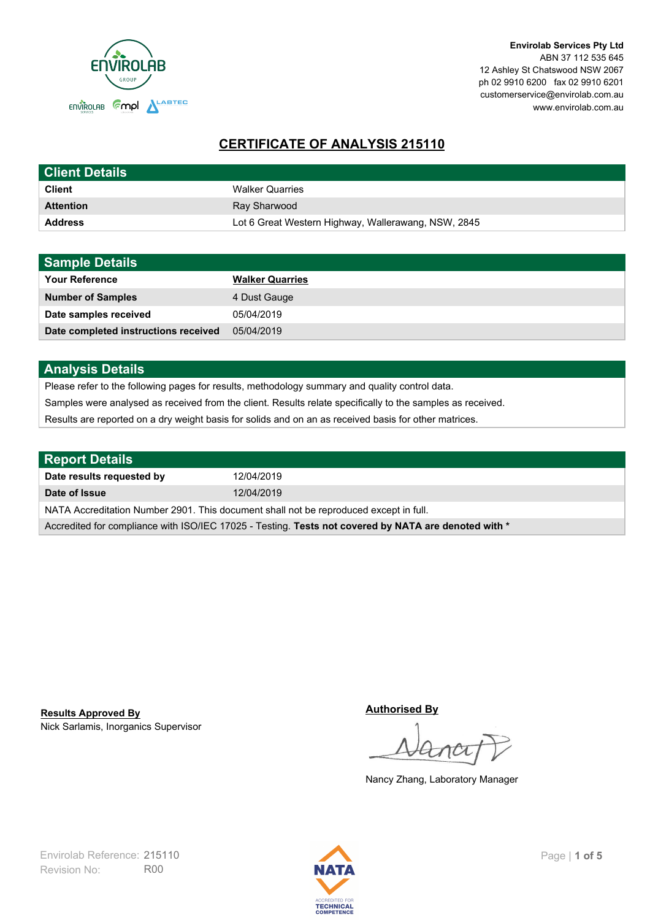

# **CERTIFICATE OF ANALYSIS 215110**

| <b>Client Details</b> |                                                     |
|-----------------------|-----------------------------------------------------|
| <b>Client</b>         | <b>Walker Quarries</b>                              |
| <b>Attention</b>      | Ray Sharwood                                        |
| <b>Address</b>        | Lot 6 Great Western Highway, Wallerawang, NSW, 2845 |

| <b>Sample Details</b>                |                        |
|--------------------------------------|------------------------|
| <b>Your Reference</b>                | <b>Walker Quarries</b> |
| <b>Number of Samples</b>             | 4 Dust Gauge           |
| Date samples received                | 05/04/2019             |
| Date completed instructions received | 05/04/2019             |

## **Analysis Details**

Please refer to the following pages for results, methodology summary and quality control data.

Samples were analysed as received from the client. Results relate specifically to the samples as received.

Results are reported on a dry weight basis for solids and on an as received basis for other matrices.

| <b>Report Details</b>                                                                                |            |  |
|------------------------------------------------------------------------------------------------------|------------|--|
| Date results requested by                                                                            | 12/04/2019 |  |
| Date of Issue                                                                                        | 12/04/2019 |  |
| NATA Accreditation Number 2901. This document shall not be reproduced except in full.                |            |  |
| Accredited for compliance with ISO/IEC 17025 - Testing. Tests not covered by NATA are denoted with * |            |  |

Nick Sarlamis, Inorganics Supervisor **Results Approved By**

**Authorised By**

Nancy Zhang, Laboratory Manager

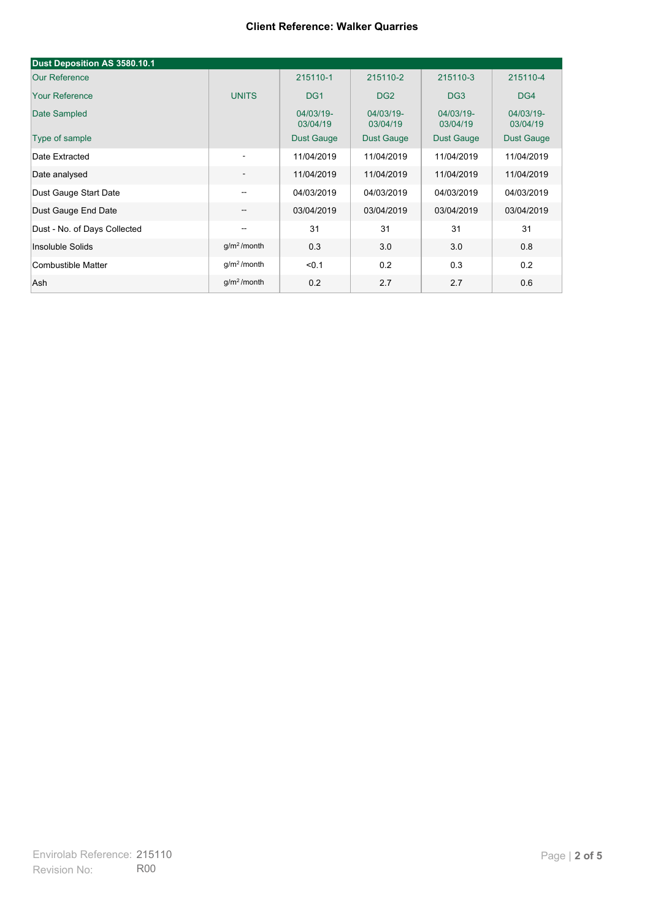#### **Client Reference: Walker Quarries**

| Dust Deposition AS 3580.10.1 |                          |                       |                       |                       |                       |
|------------------------------|--------------------------|-----------------------|-----------------------|-----------------------|-----------------------|
| <b>Our Reference</b>         |                          | 215110-1              | 215110-2              | 215110-3              | 215110-4              |
| <b>Your Reference</b>        | <b>UNITS</b>             | DG <sub>1</sub>       | DG <sub>2</sub>       | DG <sub>3</sub>       | DG4                   |
| Date Sampled                 |                          | 04/03/19-<br>03/04/19 | 04/03/19-<br>03/04/19 | 04/03/19-<br>03/04/19 | 04/03/19-<br>03/04/19 |
| Type of sample               |                          | <b>Dust Gauge</b>     | Dust Gauge            | Dust Gauge            | Dust Gauge            |
| Date Extracted               | $\overline{\phantom{a}}$ | 11/04/2019            | 11/04/2019            | 11/04/2019            | 11/04/2019            |
| Date analysed                | $\overline{\phantom{a}}$ | 11/04/2019            | 11/04/2019            | 11/04/2019            | 11/04/2019            |
| Dust Gauge Start Date        | $-$                      | 04/03/2019            | 04/03/2019            | 04/03/2019            | 04/03/2019            |
| Dust Gauge End Date          | $\overline{\phantom{m}}$ | 03/04/2019            | 03/04/2019            | 03/04/2019            | 03/04/2019            |
| Dust - No. of Days Collected | $-$                      | 31                    | 31                    | 31                    | 31                    |
| Insoluble Solids             | $g/m2$ /month            | 0.3                   | 3.0                   | 3.0                   | 0.8                   |
| Combustible Matter           | g/m <sup>2</sup> /month  | < 0.1                 | 0.2                   | 0.3                   | 0.2                   |
| Ash                          | g/m <sup>2</sup> /month  | 0.2                   | 2.7                   | 2.7                   | 0.6                   |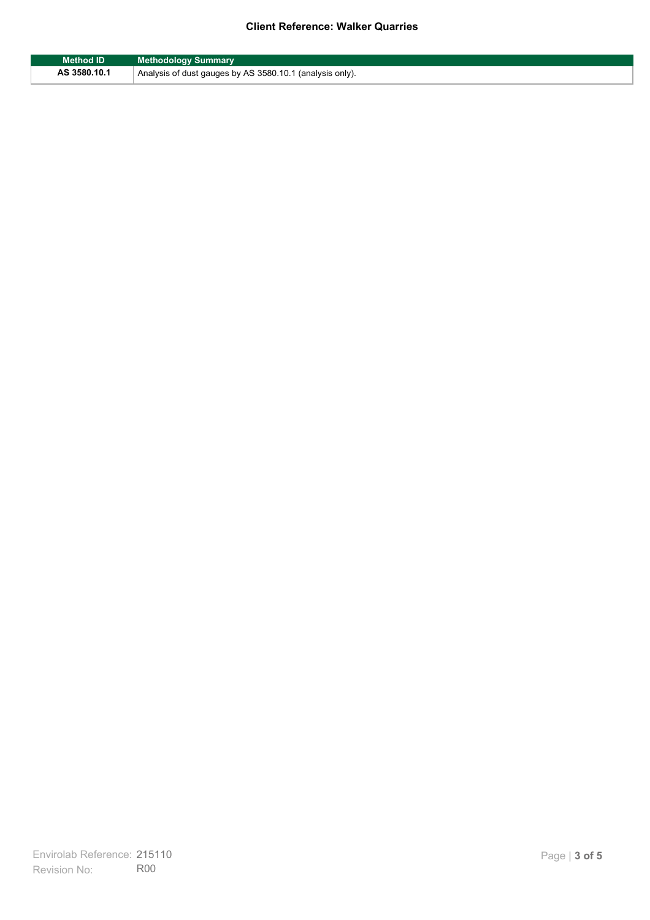### **Client Reference: Walker Quarries**

| <b>Method ID</b> | <b>Methodology Summary</b>                               |
|------------------|----------------------------------------------------------|
| AS 3580.10.1     | Analysis of dust gauges by AS 3580.10.1 (analysis only). |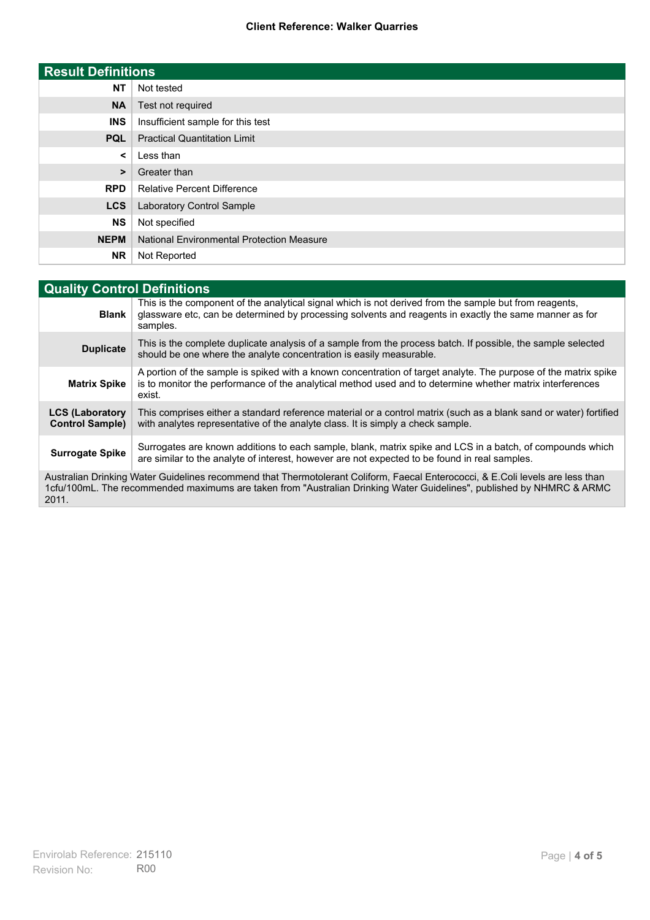### **Client Reference: Walker Quarries**

| <b>Result Definitions</b> |                                                  |
|---------------------------|--------------------------------------------------|
| <b>NT</b>                 | Not tested                                       |
| <b>NA</b>                 | Test not required                                |
| <b>INS</b>                | Insufficient sample for this test                |
| <b>PQL</b>                | <b>Practical Quantitation Limit</b>              |
| $\prec$                   | Less than                                        |
| $\geq$                    | Greater than                                     |
| <b>RPD</b>                | <b>Relative Percent Difference</b>               |
| <b>LCS</b>                | Laboratory Control Sample                        |
| <b>NS</b>                 | Not specified                                    |
| <b>NEPM</b>               | <b>National Environmental Protection Measure</b> |
| <b>NR</b>                 | Not Reported                                     |

| <b>Quality Control Definitions</b>                                                                                                                                                                                                                      |                                                                                                                                                                                                                                        |
|---------------------------------------------------------------------------------------------------------------------------------------------------------------------------------------------------------------------------------------------------------|----------------------------------------------------------------------------------------------------------------------------------------------------------------------------------------------------------------------------------------|
| <b>Blank</b>                                                                                                                                                                                                                                            | This is the component of the analytical signal which is not derived from the sample but from reagents,<br>glassware etc, can be determined by processing solvents and reagents in exactly the same manner as for<br>samples.           |
| <b>Duplicate</b>                                                                                                                                                                                                                                        | This is the complete duplicate analysis of a sample from the process batch. If possible, the sample selected<br>should be one where the analyte concentration is easily measurable.                                                    |
| <b>Matrix Spike</b>                                                                                                                                                                                                                                     | A portion of the sample is spiked with a known concentration of target analyte. The purpose of the matrix spike<br>is to monitor the performance of the analytical method used and to determine whether matrix interferences<br>exist. |
| <b>LCS (Laboratory</b><br><b>Control Sample)</b>                                                                                                                                                                                                        | This comprises either a standard reference material or a control matrix (such as a blank sand or water) fortified<br>with analytes representative of the analyte class. It is simply a check sample.                                   |
| <b>Surrogate Spike</b>                                                                                                                                                                                                                                  | Surrogates are known additions to each sample, blank, matrix spike and LCS in a batch, of compounds which<br>are similar to the analyte of interest, however are not expected to be found in real samples.                             |
| Australian Drinking Water Guidelines recommend that Thermotolerant Coliform, Faecal Enterococci, & E.Coli levels are less than<br>1cfu/100mL. The recommended maximums are taken from "Australian Drinking Water Guidelines", published by NHMRC & ARMC |                                                                                                                                                                                                                                        |

2011.